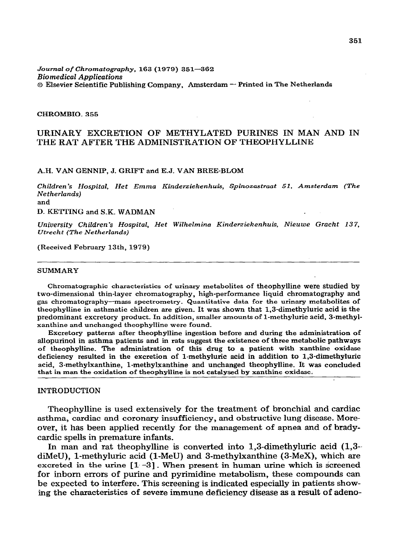#### *Journal of Chromatography, 163* **(1979)** *351-362 Biomedical Applications o* **Ekevier Scientific Publishing Company, Amsterdam - Printed in The Netherlands**

#### **CHROMBIO\_ 355**

# **URINARY EXCRETION OF METHYLATED PURINES IN MAN AND IN THE RAT AFTER THE ADMINISTRATION OF THEOPHYLLINE**

#### **A.H. VAN GENNIP, J. GRIFT and E-J. VAN BREE-BLOM**

*Children's Hospital, Het Emma Kinderziekenhuis, Spinozastraat 51, Amsterdam (The Netherlands)* 

**and** 

**D. KETTING and S.K. WADMAN** 

*University Ckildren's Hospital, Het Wilhelmina Kinderziekenhuis, Nieuwe Gracht 13 7, Utrecht (The Netherlands)* 

**(Received February 13th, 1979)** 

#### **SUMMARY**

**Chromatographic characteristics of urinary metabolites of theophylline were studied by two-dimensional thin-layer chromatography, high-performance liquid chromatography and gas chromatography-mass spectrometry. Quantitative data for the urinary metabolites of theophylline in asthmatic children are given. It was shown that 1,3-dimethyluric acid is the predominant excretory product. In addition, smaller amounts of 1-methyluric acid, 3-methylxanthine and unchanged theophylline were found.** 

**Excretory patterns after theophylline ingestion before and during the administration of allopurinol in asthma patients and in rats suggest the existence of three metabolic pathways of theophylline. The administration of this drug to a patient with xanthine oxidase deficiency resulted in the excretion of 1-methyluric acid in addition to 1,3-dimethyluric acid, 3\_methylxanthine, 1-methylxanthine and unchanged theophylline. It was concluded that in man the oxidation of theophylline is not catalysed by xanthine cxidase;** 

#### **INTRODUCTION**

**Theophylline is used extensively for the treatment of bronchial and cardiac asthma, cardiac and coronary insufficiency, and obstructive lung disease. Moreover, it has been applied recently for the management of apnea and of bradycardic spells in premature infants.** 

**In man and rat theophylline is converted into 1,3-dimethyluric acid (1,3- diMeU), 1-methyluric acid (l-MeU) and 3-methylxanthine (3-MeX), which are**  excreted in the urine  $\lceil 1 - 3 \rceil$ . When present in human urine which is screened **for inborn errors of purine and pyrimidine metabolism, these compounds can be expected to interfere. This screening is indicated especially in patients showing the characteristics of severe immune deficiency disease as a result of adeno-**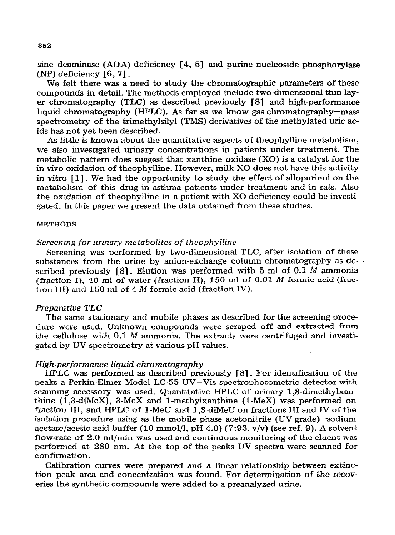**sine deaminase (ADA) deficiency [4, 53 and purine nucleoside phosphorylase (NP) deficiency [6,7]** \_

**We felt there was a need to study the chromatographic parameters of these compounds in detail. The methods employed include two-dimensional thin-layer chromatography (TLC) as described previously [SJ and high-performance liquid chromatography (HPLC). As far as we know gas chromatography-mass spectrometry of the trimethylsilyl (TMS) derivatives of the methylated uric acids has not yet been described.** 

**As little is known about the quantitative aspects of theophylline metabolism, we also investigated urinary concentrations in patients under treatment. The metabolic pattern does suggest that xanthine oxidase (X0) is a catalyst for the in vivo oxidation of theophylline. However, milk X0 does not have this activity in vitro [l] . We had the opportunity to study the effect of allopurinol on the metabolism of this drug in asthma patients under treatment and in rats. Also the oxidation of theophylline in a patient with X0 deficiency could be investigated. In this paper we present the data obtained from these studies.** 

#### **METHODS**

### *Screening for urinary metabolites of theophylline*

**Screening was performed by two-dimensional TLC, after isolation of these substances from the urine by anion-exchange column chromatography as de-** . **scribed previously [8]** \_ **Elution was performed with 5 ml of 0.1 M ammonia (fraction I), 40 ml of water (fraction II), 150 ml of 0.01 M formic acid (fraction III) and 150 ml of 4 M formic acid (fraction IV).** 

### *Preparative TLC*

**The same stationary and mobile phases as described for the screening procedure were used. Unknown compounds were scraped off and extracted from the cellulose with 0.1 M ammonia. The extracts were centrifuged and investigated by UV spectrometry at various pH values.** 

### *High-performance liquid chromatography*

**HPLC was performed as described previously [ 8]\_ For identification of the peaks a Perkin-Elmer Model LC-55 UV-Vis spectrophotometric detector with scanning accessory was used. Quantitative HPLC of urinary 1,3dimethylxanthine (1,3-diMeX), 3-MeX and 1-methylxanthine (l-MeX) was performed on fraction III, and HPLC of l-MeU and l,\$-diMeU on fractions III and IV of the**  isolation procedure using as the mobile phase acetonitrile (UV grade) sodium **acetate/acetic acid buffer (10 mmol/l, pH 4.0) (7:93, v/v) (see ref. 9). A solvent flow-rate of 2.0 ml/min was used and continuous monitoring of the eluent was performed at 280 nm. At the top of the peaks UV spectra were scanned for confirmation.** 

**Calibration curves were prepared and a linear relationship between extinction peak area and concentration was found. For determination of the recoveries the synthetic compounds were added to a preanalyzed** *urine.*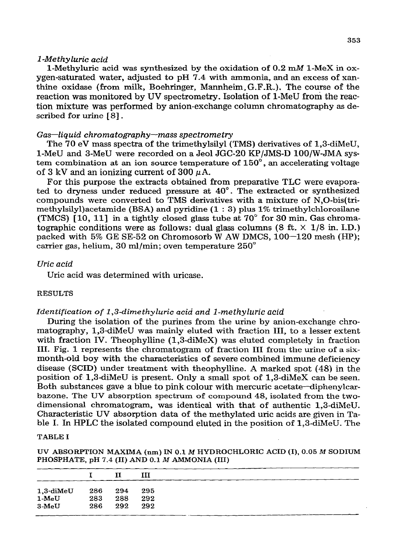### *1 -Methyluric acid*

1-Methyluric acid was synthesized by the oxidation of 0.2 mM 1-MeX in ox**ygen-saturated water, adjusted to pH** *7.4* **with ammonia, and an excess of xanthine oxidase (from milk, Boehringer, Mannheim,G.F.R.), The course of the reaction was monitored by UV spectrometry. Isolation of l-MeU from the reaction mixture was performed by anion-exchange column chromatography as described for urine [ 81.** 

### *Gas-liquid chromatography-mass spectrometry*

**The 70 eV mass spectra of the trimethylsilyl (TMS) derivatives of 1,3-diMeU, l-MeU and 3-MeU were recorded on a Jeol JGC-20 KP/JMS-D 100/W-JMA system combination at an ion source temperature of 150",** an **accelerating voltage**  of  $3 \text{ kV}$  and an ionizing current of  $300 \mu\text{A}$ .

**For this purpose the extracts obtained from preparative TLC were evaporated to dryness under reduced pressure at 40". The extracted or synthesized compounds were converted to TMS derivatives with a mixture of N,O-bis(trimethylsilyl)acetamide (BSA) and pyridine (1** : **3) plus 1% trimethylchlorosilane (TMCS) [lo, 111 in a tightly closed glass tube at 70" for 30 min. Gas chroma**tographic conditions were as follows: dual glass columns  $(8 \text{ ft.} \times 1/8 \text{ in. } I.D.)$ **packed with 5% GE SE-52 on Chromosorb W AW DMCS, 100-120 mesh (HP); carrier gas, helium, 30 ml/min; oven temperature 250"** 

# *Uric acid*

**Uric acid was determined with uricase.** 

## **RESULTS**

### Identification of 1,3-dimethyluric acid and 1-methyluric acid

**During the isolation of the purines from the urine by anion-exchange chromatography, 1,3diMeU was mainly- eluted with fraction III, to a lesser extent with fraction IV. Theophylline (1,3diMeX) was eluted completely in fraction III. Fig. 1 represents the chromatogram of fraction III from the urine of a sixmonth-old boy with the characteristics of severe combined immune deficiency disease (SCID) under treatment with theophylline. A marked spot (48) in the position of- 1,3diMeU is present. Only a small spot of 1,3-diMeX can be seen. Both substances gave a blue to pink colour with mercuric acetate-diphenylcarbazone. The UV absorption spectrum of compound 48, isolated from the twodimensional chromatogram, was identical with that of authentic 1,3-diMeU.**  Characteristic UV absorption data of the methylated uric acids are given in Table I. In HPLC the isolated compound eluted in the position of 1,3-diMeU. The

#### **T\_mLE I**

**UV ABSORPTION MAXIMA (nm) IN 0.1** *M* **HYDROCHLORIC ACID (I), 0.05** *M SODIUM*  **PHOSPHATE, pH 7.4 (II) AND 0.1** *M* **AMMONIA (III)** 

|                 |         | п   | ш   |  |
|-----------------|---------|-----|-----|--|
| $1,3$ -di $MeU$ | 286 294 |     | 295 |  |
| $1-MeU$         | 283     | 288 | 292 |  |
| $3-MeU$         | 286     | 292 | 292 |  |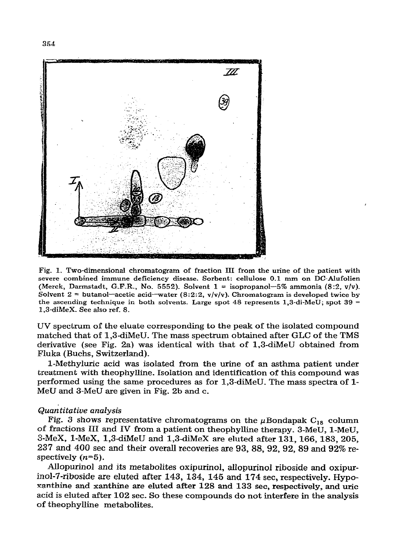

**Fig. 1. Two-dimensional chromatogram of fraction III from the urine of the patient with severe combined immune deficiency disease. Sorbent: cellulose 0.1 mm on DC-Alufolien (Merck, Darmstadt, G.F.R., No. 5552). Solvent 1 = isopropanol-5% ammonia (8:2, v/v).**  Solvent  $2 =$  butanol-acetic acid-water  $(8:2:2, v/v/v)$ . Chromatogram is developed twice by the ascending technique in both solvents. Large spot 48 represents 1,3-di-MeU; spot 39 = **1,3-diMeX. See also ref. 8.** 

**UV spectrum of the eluate corresponding to the peak of the isolated compound matched that of 1,3-diMeU. The mass spectrum obtained after GLC of the TMS derivative (see Fig. 2a) was identical with that of 1,3-diMeU obtained from Fluka (Buchs, Switzerland).** 

**l-Methyluric acid was isolated from the urine of an asthma patient under treatment with theophylline. Isolation and identification of this compound was performed using the same procedures as for 1,3-diMeU. The mass spectra of l-**MeU and 3-MeU are given in Fig. 2b and c.

## *Quan titatiue analysis*

Fig. 3 shows representative chromatograms on the  $\mu$ Bondapak C<sub>18</sub> column **of fractions III and IV from a patient on theophylline therapy. 3-MeU, l-MeU,**  3-MeX, 1-MeX, 1,3-diMeU and 1,3-diMeX are eluted after 131, 166, 183, 205, **237 and 400 set and their overall recoveries are 93, 88,92, 92, 89 and 92% respectively (n=5).** 

**Ailopurinol and its metabolites oxipurinol, allopurinol riboside and oxipur**inol-7-riboside are eluted after 143, 134, 145 and 174 sec, respectively. Hypo**xanthine and xanthine are eluted after 128 and 133 set, respectively, and uric acid is eluted after 102 sec. So these compounds do not interfere in the analysis of theophylline metabolites.**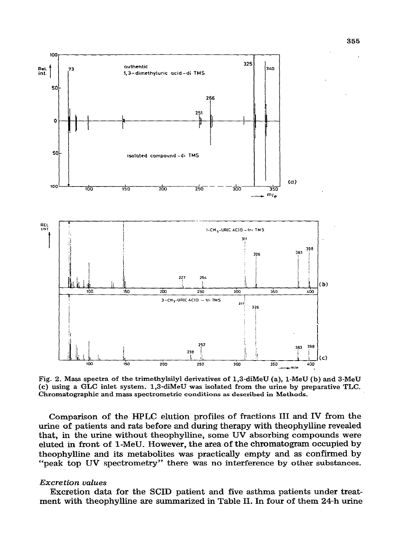

**Fig. 2. Mass spectra of the trimethykiiyl derivatives of 1,3-diMeU (a), l-MeU (b) arid 3-MeU (c) using a GLC inlet system. 1,3-diMeU was isolated from the urine by preparative TLC. Chromatographic and mass spectrometric conditions as described in Methods.** 

**Comparison of the HPLC elution profiles of fractions III and IV from the urine of patients and rats before and during therapy with theophylhne revealed that, in the urine without theophylline, some UV absorbing compounds were eluted in front of 1-MeU. However, the area of the chromatogram occupied by theophylline and its metabolites was practically empty and as confirmed by "peals top UV spectrometry" there was no interference by other substances.** 

# **Excretion** *values*

**Excretion data for the SCID patient and five asthma patients under treatment with theophylline are summarized in Table II. In four of them 24-h urine**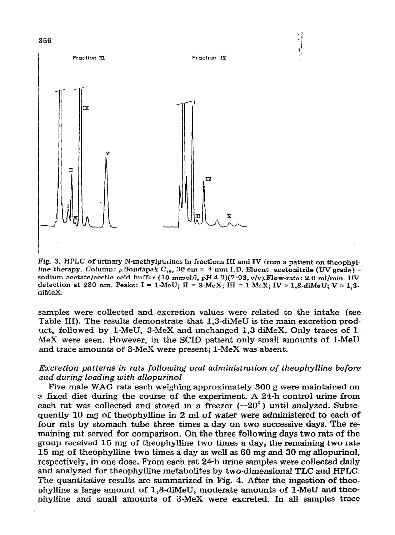

**Fig. 3. HPLC of urinary N-methylpurines in fractions III and IV from a patient on theophyl**line therapy. Column: µBondapak C<sub>13</sub>, 30 cm × 4 mm I.D. Eluent: acetonitrile (UV grade)**sodium acetate/acetic acid buffer (10 mmol/l, pH d-0)(7:93, v/v).Flow-rate: 2.0 ml/min. UV**  detection at 280 nm. Peaks: I = 1-MeU;  $\Pi = 3$ -MeX;  $III = 1$ -MeX;  $IV = 1,3$ -diMeU;  $V = 1,3$ **diMeX\_** 

 $\begin{smallmatrix} 1\\ 1\\ 1 \end{smallmatrix}$ 

**samples were collected and excretion values were related to the intake. (see Table III). The results demonstrate that 1,3-diMeU is the main excretion prod**uct, followed by 1-MeU, 3-MeX and unchanged 1,3-diMeX. Only traces of 1-**\_MeX were seen. However, in the SCID patient only small amounts of l-MeU and trace amounts of 3-MeX were present; l-MeX was absent.** 

# *Excretion- patterns in rats following oral administration of theophylline before and during loading with allopurinol*

**Five male WAG rats each weighing approximately 300 g were maintained on a fixed diet during the course of the experiment. A 24-h control urine from**each rat was collected and stored in a freezer (--20<sup>o</sup>) until analyzed. Subse**quently 10 mg of theophylhne in 2 ml of water were administered to each of four rats by stomach tube three times a day on two successive days. The remaining rat served for comparison. On the three following days two rats of the group received 15 mg of theophylline two times a day, the remaining two rats 15 mg of theophylline two times a day as well as** *60* **mg and** *30* **mg allopurinol, respectively, in one dose. From each rat 24-h urine samples were collected daily**  and analyzed for theophylline metabolites by two-dimensional TLC and HPLC. **The quantitative results are summarized in Fig. 4. After the ingestion of theophylline a large amount of 1,3-diMeU, moderate amounts of l-MeU and theophylhne and smaIl amounts of 3-MeX were excreted. In all samples trace**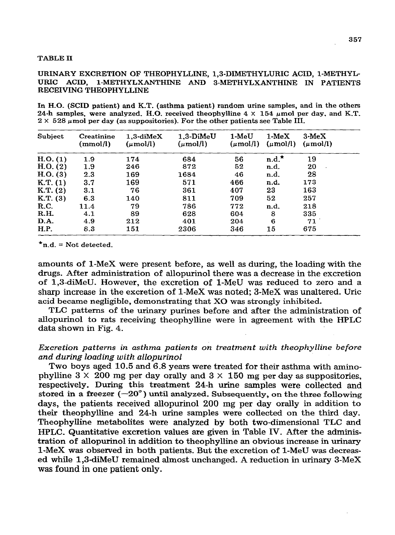#### **TABLE II**

### **URINARY EXCRETION OF THEOPHYLLINE, 1,3-DIMETHYLURIC ACID, I-METHYL-**URIC ACID, 1-METHYLXANTHINE AND 3-METHYLXANTHINE IN PATIENTS **RECEIVING THEOPHYLLINE**

**In H-0. (SCID patient) and K.T. (asthma patient) random urine samples, and in the others**  24-h samples, were analyzed. H.O. received theophylline  $4 \times 154$   $\mu$ mol per day, and K.T.  $2 \times 528$   $\mu$  mol per day (as suppositories). For the other patients see Table III.

| Subject   | <b>Creatinine</b><br>(mmol/l) | $1.3$ -di $MeX$<br>$(\mu \text{mol/l})$ | $1.3-DiMeU$<br>$(\mu \text{mol/l})$ | 1-MeU<br>$(\mu \text{mol/l})$ | $1-MeX$<br>$(\mu \text{mol/l})$ | $3-MeX$<br>$(\mu \text{mol/l})$ |
|-----------|-------------------------------|-----------------------------------------|-------------------------------------|-------------------------------|---------------------------------|---------------------------------|
| H.O. (1)  | 1.9                           | 174                                     | 684                                 | 56                            | $n.d.^*$                        | 19                              |
| H. O. (2) | 1.9                           | 246                                     | 872                                 | 52                            | n.d.                            | 20                              |
| H. O. (3) | 2.3                           | 169                                     | 1684                                | 46                            | n.d.                            | 28                              |
| K.T. (1)  | 3.7                           | 169                                     | 571                                 | 466                           | n.d.                            | 173                             |
| K.T. (2)  | 3.1                           | 76                                      | 361                                 | 407                           | 23                              | 163                             |
| K.T. (3)  | 6.3                           | 140                                     | 811                                 | 709                           | 52                              | 257                             |
| R.C.      | 11.4                          | 79                                      | 786                                 | 772                           | n.d.                            | 218                             |
| R.H.      | 4.1                           | 89                                      | 628                                 | 604                           | 8                               | 335                             |
| D.A.      | 4.9                           | 212                                     | 401                                 | 204                           | 6                               | 71                              |
| H.P.      | 8.3                           | 151                                     | 2306                                | 346                           | 15                              | 675                             |

**\*n.d. = Not detected.** 

amounts of 1-MeX were present before, as well as during, the loading with the **drugs. After administration of allopurinol there was a decrease in the excretion of 1,3&MeU. However, the excretion of l-MeU was reduced to zero and a sharp increase in the excretion of l-MeX was noted; 3-MeX was unaltered. Uric acid became negligible, demonstrating that X0 was strongly inhibited.** 

**TLC patterns of the urinary purines before and after the administration of allopurinol to rats receiving theophylline were in agreement with the HPLC data shown in Fig. 4.** 

# *Excretion patterns in asthma patients on treatment with theophyiline before and during loading with allopurinol*

**Two boys aged 10.5 and** *6.8 years* **were treated for their asthma with aminophylline 3 X 200 mg per day orally and 3** *X* **150 mg per day as suppositories, respectively. During this treatment 24-h urine samples were collected and**  stored in a freezer  $(-20^{\circ})$  until analyzed. Subsequently, on the three following **days, the patients received allopurinol 200 mg per day orally in addition to their theophylline and 24-h urine samples were collected on the third day. TheophylIine metabolites were analyzed by both two-dimensional TLC and HPLC.** Quantitative excretion values are given in Table IV. After the adminis**tration of allopurhol in addition to theophylline an obvious increase in urinary l-MeX was observed in both patients. But the excretion of l-MeU was decreased while 1,3-diMeU remained almost unchanged. A reduction in urinary 3-MeX was found in one patient only.**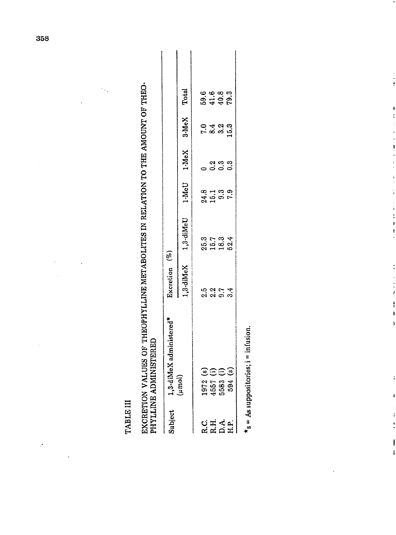**TABLE III** TABLE III

EXCRETION VALUES OF THEOPHYLLINE METABOLITES IN RELATION TO THE AMOUNT OF THEO-<br>PHYLLINE ADMINISTERED EXCRETION VALUES OF THEOPHYLLINE MM'ABOLITES IN RELATION TO THE AMOUNT OF THEO-PHYLLINE ADMINISTERED

| Subject      | L,3-diMeX administered*<br>µmol)                                                   | Excretion (%) |                                     |                    |                 |                               |                               |
|--------------|------------------------------------------------------------------------------------|---------------|-------------------------------------|--------------------|-----------------|-------------------------------|-------------------------------|
|              |                                                                                    |               | 1,3-diMeX 1,3-diMeU                 |                    | $1-MeU$ $1-MeX$ | 3-MeX                         | Total                         |
|              |                                                                                    |               |                                     |                    |                 |                               |                               |
|              |                                                                                    | sar<br>adan   | 8 1 - 8 4<br>8 - 8 8 8<br>8 - 1 - 8 | 21130.<br>21150.52 | conno<br>COCO   | <b>O 4 61 62</b><br>で 8 61 61 | a a a a<br>a d a a<br>a d a a |
|              |                                                                                    |               |                                     |                    |                 |                               |                               |
| ひはんた<br>にはこは | $\begin{array}{c} 1972 \ (s) \\ 4557 \ (i) \\ 5583 \ (i) \\ 594 \ (s) \end{array}$ |               |                                     |                    |                 |                               |                               |

 $*_s = As$  suppositories;  $i = infusion$ .  $\mathbf{r}_s = A s$  suppositories;  $i = \text{inifu}$ 

 $\frac{1}{2}$ 

ŗ

 $\begin{array}{c} \frac{1}{2} \\ \frac{1}{2} \end{array}$ 

í,

ļ  $\mathbf{r}$ 

t

 $\frac{1}{2}$   $\frac{1}{2}$   $\frac{1}{2}$   $\frac{1}{2}$   $\frac{1}{2}$ 

 $\overline{ }$ 

 $\ddot{i}$ 

ĭ

 $\ddot{i}$  $\ddot{\phantom{a}}$ 

ï

 $\ddot{\phi}$ 

l,

٠.

 $\ddot{\phantom{0}}$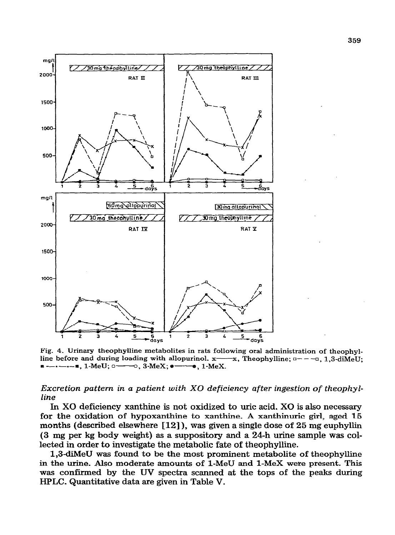

**Fig. 4. Urinary theophylline metabolites in rats following oral administration of theophyl**line before and during loading with allopurinol.  $x \rightarrow x$ , Theophylline;  $q \rightarrow -q$ , 1,3-diMeU; **I** ---**E**, **1**-MeU; o ------o, **3-MeX;**  $\bullet$ **-----**, **1-MeX**.

## *Excretion pattern in a patient with X0 deficiency after ingestion of theophylline*

*In X0* **deficiency xanthine is not oxidized to uric acid. X0 is also necessary for the oxidation of hypoxanthine to xanthine. A xanthiuuric girl, aged I.5 months (described elsewhere [12]), was given a single dose of 25 mg euphyllin (3 mg per kg body weight) as a suppository and a 24-h urine sample was collected in order to investigate the metabolic fate of theophylline.** 

**1,3-diMeU was found to be the most prominent metabolite of theophylline in the urine. Also moderate amounts of l-MeU and I-MeX were present. This was confirmed by the UV spectra scanned at the tops of the peaks during HPLC. Quantitative data are given in Table V.**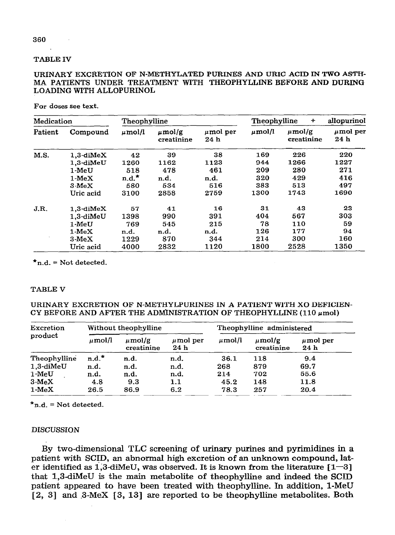### **TABLE IV**

### URINARY EXCRETION OF N-METHYLATED PURINES AND URIC ACID IN TWO ASTH-**MA PATIENTS UNDER TREATMENT WITH THEOPHYLLINE BEFORE AND DURING LOADING WITH ALLOPURINOL**

**For doses see text.** 

| Medication |                 | Theophylline |                           |                                  | Theophylline | allopurinol               |                                  |
|------------|-----------------|--------------|---------------------------|----------------------------------|--------------|---------------------------|----------------------------------|
| Patient    | Compound        | $\mu$ mol/l  | $\mu$ mol/g<br>creatinine | $\mu$ mol per<br>24 <sub>h</sub> | $\mu$ mol/l  | $\mu$ mol/g<br>creatinine | $\mu$ mol per<br>24 <sub>h</sub> |
| M.S.       | $1,3$ -diMeX    | 42           | 39                        | 38                               | 169          | 226                       | 220                              |
|            | $1.3$ -diMeU    | 1260         | 1162                      | 1123                             | 944          | 1266                      | 1227                             |
|            | 1-MeU           | 518          | 478                       | 461                              | 209          | 280                       | 271                              |
|            | $1-MeX$         | $n.d.^*$     | n.d.                      | n.d.                             | 320          | 429                       | 416                              |
|            | $3 \text{ MeX}$ | 580          | 534                       | 516                              | 383          | 513                       | 497                              |
|            | Uric acid       | 3100         | 2858                      | 2759                             | 1300         | 1743                      | 1690                             |
| J.R.       | $1,3$ -diMe $X$ | 57           | 41                        | 16                               | 31           | 43                        | 23                               |
|            | 1.3-diMeU       | 1398         | 990                       | 391                              | 404          | 567                       | 303                              |
|            | $1-MeU$         | 769          | 545                       | 215                              | 78           | 110                       | 59                               |
|            | $1-MeX$         | n.d.         | n.d.                      | n.d.                             | 126          | 177                       | 94                               |
|            | $3-MeX$         | 1229         | 870                       | 344                              | 214          | 300                       | 160                              |
|            | Uric acid       | 4000         | 2832                      | 1120                             | 1800         | 2528                      | 1350                             |

 $\star$ n.d. = Not detected.

### **TABLE V**

**URINARY EXCRETION OF N-METHYLPURINES IN A PATIENT WITH X0 DEFICIEN-**CY BEFORE AND AFTER THE ADMINISTRATION OF THEOPHYLLINE  $(110 \mu mol)$ 

| Excretion    |             | Without theophylline      |                      | Theophylline administered |                           |                       |
|--------------|-------------|---------------------------|----------------------|---------------------------|---------------------------|-----------------------|
| product      | $\mu$ mol/l | $\mu$ mol/g<br>creatinine | $\mu$ mol per<br>24h | $\mu$ mol/l               | $\mu$ mol/g<br>creatinine | $\mu$ mol per<br>24 h |
| Theophylline | $n.d.^*$    | n.d.                      | n.d.                 | 36.1                      | 118                       | 9.4                   |
| 1,3-diMeU    | n.d.        | n.d.                      | n.d.                 | 268                       | 879                       | 69.7                  |
| $1-MeU$      | n.d.        | n.d.                      | n.d.                 | 214                       | 702                       | 55.6                  |
| $3-MeX$      | 4.8         | 9.3                       | 1.1                  | 45.2                      | 148                       | 11.8                  |
| $1-MeX$      | 26.5        | 86.9                      | 6.2                  | 78.3                      | 257                       | 20.4                  |

 $\star$ n.d. = Not detected.

#### **DISCUSSION**

**By two-dimensional TLC screening of urinary purines and pyrimidines in a**  patient with SCID, an abnormal high excretion of an unknown compound, later identified as  $1,3$ -diMeU, was observed. It is known from the literature  $[1-3]$ **that 1,3-diMeU is the main metabolite of theophylline and indeed the SCID patient appeared to have been treated with theophylline. In addition, l-MeU**  [2, 3] and 3-MeX [3, 13] are reported to be theophylline metabolites. Both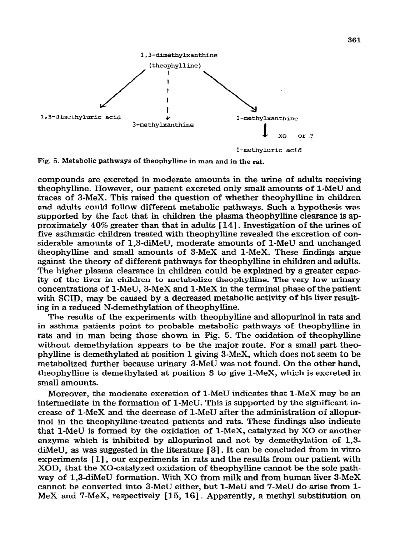

**Fig. 5. Metabolic pathways of theophylline in man and in the rat.** 

**compounds are excreted in moderate amounts in the urine of adults receiving theophylline. However, our patient excreted only small amounts of l-MeU and traces of 3-MeX. This raised the question of whether theophylline in children and adults could follow different metabolic pathways. Such a hypothesis was supported by the fact that in children the plasma theophylline clearance is approximately 40% greater than that in adults [14]** \_ **Investigation of the urines of five asthmatic children treated with theophylhne revealed the excretion of considerable amounts of 1,3-diMeU, moderate amounts of I-MeU and unchanged theophylline and small amounts of 3-MeX and l-MeX. These findings argue against the theory of different pathways for theophylhne in children and adults. The higher plasma clearance in children could be explained by a greater capacity of the liver in children to metabolize theophylline- The very low urinary concentrations of l-MeU, 3-MeX and l-MeX in the terminal phase of the patient with SCID, may be caused by a decreased metabolic activity of his liver result**ing in a reduced N-demethylation of theophylline.

**The results of the experiments with theophylline and aUopurino1 in rats and**  in asthma patients point to probable metabolic pathways of theophylline in **rats and in man being those shown in Fig. 5. The oxidation of theophylhne without demethylation appears to be the major route. For a small part theophylline is demethylated at position 1 giving 3-MeX, which does not seem to be metabolized further because urinary 3-MeU was not found. On the other hand, theophylline is demethylated at position 3 to give l-MeX, which is excreted in small amounts.** 

**Moreover, the moderate excretion of I-MeU indicates that l-MeX may be an intermediate in the formation of l-MeU. This is supported by the significant increase of l-MeX and the decrease of l-MeU after the administration of allopurin01 in the theophylline-treated patients and rats. These findings also indicate that l-MeU is formed by the oxidation of l-MeX, catalyzed by X0 or another enzyme which is inhibited by allopurinol and not by demethylation of 1,3 diMeU, as was suggested in the literature [ 31.** It can **be concluded from in vitro experiments [ 11,** our **experiments in rats and the results from our patient with XOD, that the X0-catalyzed oxidation of theophylline cannot be the sole pathway of 1,3-diMeU formation\_ With X0 from milk and from human liver 3-MeX cannot be converted into 3-MeU either, but l-MeU and 7-MeU do arise from l-MeX and 7-MeX, respectively [ 15, IS]** \_ **Apparently, a methyl substitution on**